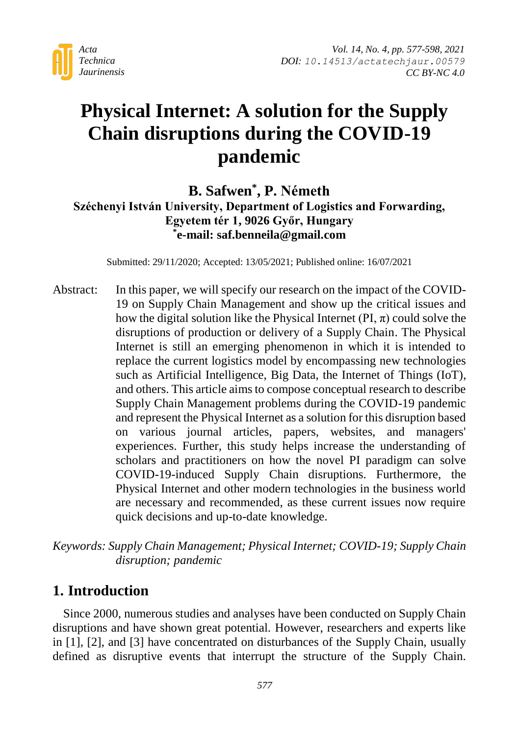

# **Physical Internet: A solution for the Supply Chain disruptions during the COVID-19 pandemic**

### **B. Safwen\* , P. Németh Széchenyi István University, Department of Logistics and Forwarding, Egyetem tér 1, 9026 Győr, Hungary \* e-mail: saf.benneila@gmail.com**

Submitted: 29/11/2020; Accepted: 13/05/2021; Published online: 16/07/2021

Abstract: In this paper, we will specify our research on the impact of the COVID-19 on Supply Chain Management and show up the critical issues and how the digital solution like the Physical Internet  $(PI, \pi)$  could solve the disruptions of production or delivery of a Supply Chain. The Physical Internet is still an emerging phenomenon in which it is intended to replace the current logistics model by encompassing new technologies such as Artificial Intelligence, Big Data, the Internet of Things (IoT), and others. This article aims to compose conceptual research to describe Supply Chain Management problems during the COVID-19 pandemic and represent the Physical Internet as a solution for this disruption based on various journal articles, papers, websites, and managers' experiences. Further, this study helps increase the understanding of scholars and practitioners on how the novel PI paradigm can solve COVID-19-induced Supply Chain disruptions. Furthermore, the Physical Internet and other modern technologies in the business world are necessary and recommended, as these current issues now require quick decisions and up-to-date knowledge.

*Keywords: Supply Chain Management; Physical Internet; COVID-19; Supply Chain disruption; pandemic*

### **1. Introduction**

Since 2000, numerous studies and analyses have been conducted on Supply Chain disruptions and have shown great potential. However, researchers and experts like in [1], [2], and [3] have concentrated on disturbances of the Supply Chain, usually defined as disruptive events that interrupt the structure of the Supply Chain.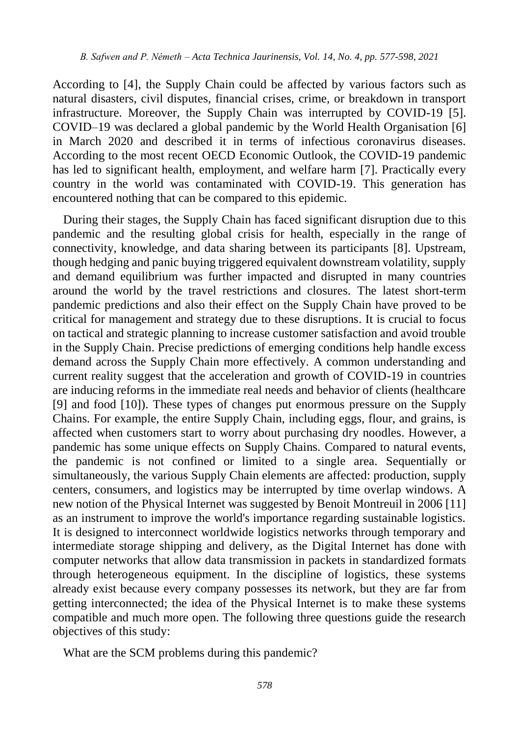According to [4], the Supply Chain could be affected by various factors such as natural disasters, civil disputes, financial crises, crime, or breakdown in transport infrastructure. Moreover, the Supply Chain was interrupted by COVID-19 [5]. COVID–19 was declared a global pandemic by the World Health Organisation [6] in March 2020 and described it in terms of infectious coronavirus diseases. According to the most recent OECD Economic Outlook, the COVID-19 pandemic has led to significant health, employment, and welfare harm [7]. Practically every country in the world was contaminated with COVID-19. This generation has encountered nothing that can be compared to this epidemic.

During their stages, the Supply Chain has faced significant disruption due to this pandemic and the resulting global crisis for health, especially in the range of connectivity, knowledge, and data sharing between its participants [8]. Upstream, though hedging and panic buying triggered equivalent downstream volatility, supply and demand equilibrium was further impacted and disrupted in many countries around the world by the travel restrictions and closures. The latest short-term pandemic predictions and also their effect on the Supply Chain have proved to be critical for management and strategy due to these disruptions. It is crucial to focus on tactical and strategic planning to increase customer satisfaction and avoid trouble in the Supply Chain. Precise predictions of emerging conditions help handle excess demand across the Supply Chain more effectively. A common understanding and current reality suggest that the acceleration and growth of COVID-19 in countries are inducing reforms in the immediate real needs and behavior of clients (healthcare [9] and food [10]). These types of changes put enormous pressure on the Supply Chains. For example, the entire Supply Chain, including eggs, flour, and grains, is affected when customers start to worry about purchasing dry noodles. However, a pandemic has some unique effects on Supply Chains. Compared to natural events, the pandemic is not confined or limited to a single area. Sequentially or simultaneously, the various Supply Chain elements are affected: production, supply centers, consumers, and logistics may be interrupted by time overlap windows. A new notion of the Physical Internet was suggested by Benoit Montreuil in 2006 [11] as an instrument to improve the world's importance regarding sustainable logistics. It is designed to interconnect worldwide logistics networks through temporary and intermediate storage shipping and delivery, as the Digital Internet has done with computer networks that allow data transmission in packets in standardized formats through heterogeneous equipment. In the discipline of logistics, these systems already exist because every company possesses its network, but they are far from getting interconnected; the idea of the Physical Internet is to make these systems compatible and much more open. The following three questions guide the research objectives of this study:

What are the SCM problems during this pandemic?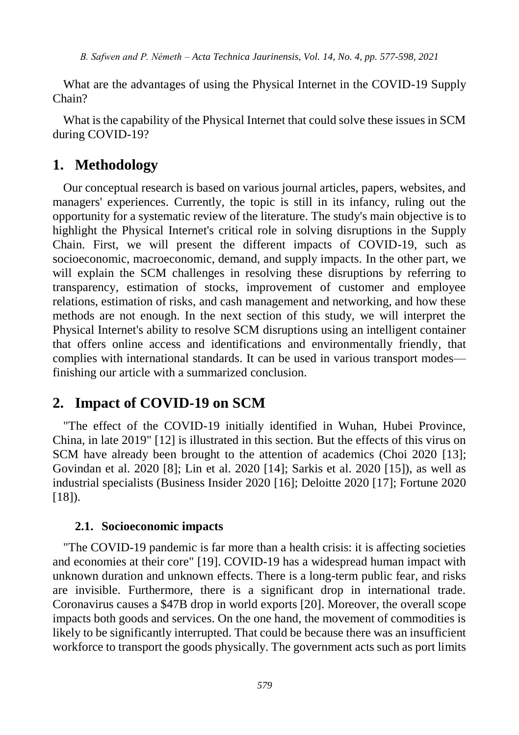What are the advantages of using the Physical Internet in the COVID-19 Supply Chain?

What is the capability of the Physical Internet that could solve these issues in SCM during COVID-19?

### **1. Methodology**

Our conceptual research is based on various journal articles, papers, websites, and managers' experiences. Currently, the topic is still in its infancy, ruling out the opportunity for a systematic review of the literature. The study's main objective is to highlight the Physical Internet's critical role in solving disruptions in the Supply Chain. First, we will present the different impacts of COVID-19, such as socioeconomic, macroeconomic, demand, and supply impacts. In the other part, we will explain the SCM challenges in resolving these disruptions by referring to transparency, estimation of stocks, improvement of customer and employee relations, estimation of risks, and cash management and networking, and how these methods are not enough. In the next section of this study, we will interpret the Physical Internet's ability to resolve SCM disruptions using an intelligent container that offers online access and identifications and environmentally friendly, that complies with international standards. It can be used in various transport modes finishing our article with a summarized conclusion.

### **2. Impact of COVID-19 on SCM**

"The effect of the COVID-19 initially identified in Wuhan, Hubei Province, China, in late 2019" [12] is illustrated in this section. But the effects of this virus on SCM have already been brought to the attention of academics (Choi 2020 [13]; Govindan et al. 2020 [8]; Lin et al. 2020 [14]; Sarkis et al. 2020 [15]), as well as industrial specialists (Business Insider 2020 [16]; Deloitte 2020 [17]; Fortune 2020  $[18]$ .

#### **2.1. Socioeconomic impacts**

"The COVID-19 pandemic is far more than a health crisis: it is affecting societies and economies at their core" [19]. COVID-19 has a widespread human impact with unknown duration and unknown effects. There is a long-term public fear, and risks are invisible. Furthermore, there is a significant drop in international trade. Coronavirus causes a \$47B drop in world exports [20]. Moreover, the overall scope impacts both goods and services. On the one hand, the movement of commodities is likely to be significantly interrupted. That could be because there was an insufficient workforce to transport the goods physically. The government acts such as port limits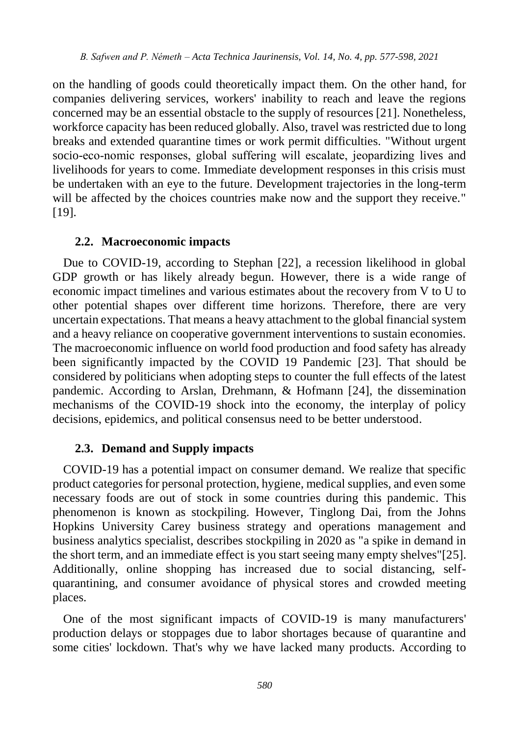on the handling of goods could theoretically impact them. On the other hand, for companies delivering services, workers' inability to reach and leave the regions concerned may be an essential obstacle to the supply of resources [21]. Nonetheless, workforce capacity has been reduced globally. Also, travel was restricted due to long breaks and extended quarantine times or work permit difficulties. "Without urgent socio-eco-nomic responses, global suffering will escalate, jeopardizing lives and livelihoods for years to come. Immediate development responses in this crisis must be undertaken with an eye to the future. Development trajectories in the long-term will be affected by the choices countries make now and the support they receive." [19].

#### **2.2. Macroeconomic impacts**

Due to COVID-19, according to [Stephan](https://onlinelibrary.wiley.com/action/doSearch?ContribAuthorStored=Gay%2C+Stephan+Hubertus) [22], a recession likelihood in global GDP growth or has likely already begun. However, there is a wide range of economic impact timelines and various estimates about the recovery from V to U to other potential shapes over different time horizons. Therefore, there are very uncertain expectations. That means a heavy attachment to the global financial system and a heavy reliance on cooperative government interventions to sustain economies. The macroeconomic influence on world food production and food safety has already been significantly impacted by the COVID 19 Pandemic [23]. That should be considered by politicians when adopting steps to counter the full effects of the latest pandemic. According to Arslan, Drehmann, & Hofmann [24], the dissemination mechanisms of the COVID-19 shock into the economy, the interplay of policy decisions, epidemics, and political consensus need to be better understood.

#### **2.3. Demand and Supply impacts**

COVID-19 has a potential impact on consumer demand. We realize that specific product categories for personal protection, hygiene, medical supplies, and even some necessary foods are out of stock in some countries during this pandemic. This phenomenon is known as stockpiling. However, Tinglong Dai, from the Johns Hopkins University Carey business strategy and operations management and business analytics specialist, describes stockpiling in 2020 as "a spike in demand in the short term, and an immediate effect is you start seeing many empty shelves"[25]. Additionally, online shopping has increased due to social distancing, selfquarantining, and consumer avoidance of physical stores and crowded meeting places.

One of the most significant impacts of COVID-19 is many manufacturers' production delays or stoppages due to labor shortages because of quarantine and some cities' lockdown. That's why we have lacked many products. According to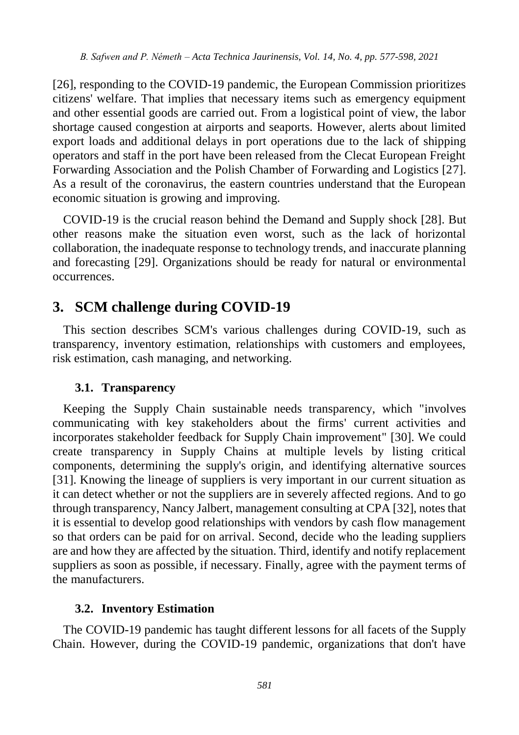[26], responding to the COVID-19 pandemic, the European Commission prioritizes citizens' welfare. That implies that necessary items such as emergency equipment and other essential goods are carried out. From a logistical point of view, the labor shortage caused congestion at airports and seaports. However, alerts about limited export loads and additional delays in port operations due to the lack of shipping operators and staff in the port have been released from the Clecat European Freight Forwarding Association and the Polish Chamber of Forwarding and Logistics [27]. As a result of the coronavirus, the eastern countries understand that the European economic situation is growing and improving.

COVID-19 is the crucial reason behind the Demand and Supply shock [28]. But other reasons make the situation even worst, such as the lack of horizontal collaboration, the inadequate response to technology trends, and inaccurate planning and forecasting [29]. Organizations should be ready for natural or environmental occurrences.

### **3. SCM challenge during COVID-19**

This section describes SCM's various challenges during COVID-19, such as transparency, inventory estimation, relationships with customers and employees, risk estimation, cash managing, and networking.

#### **3.1. Transparency**

Keeping the Supply Chain sustainable needs transparency, which "involves communicating with key stakeholders about the firms' current activities and incorporates stakeholder feedback for Supply Chain improvement" [30]. We could create transparency in Supply Chains at multiple levels by listing critical components, determining the supply's origin, and identifying alternative sources [31]. Knowing the lineage of suppliers is very important in our current situation as it can detect whether or not the suppliers are in severely affected regions. And to go through transparency, Nancy Jalbert, management consulting at CPA [32], notes that it is essential to develop good relationships with vendors by cash flow management so that orders can be paid for on arrival. Second, decide who the leading suppliers are and how they are affected by the situation. Third, identify and notify replacement suppliers as soon as possible, if necessary. Finally, agree with the payment terms of the manufacturers.

#### **3.2. Inventory Estimation**

The COVID-19 pandemic has taught different lessons for all facets of the Supply Chain. However, during the COVID-19 pandemic, organizations that don't have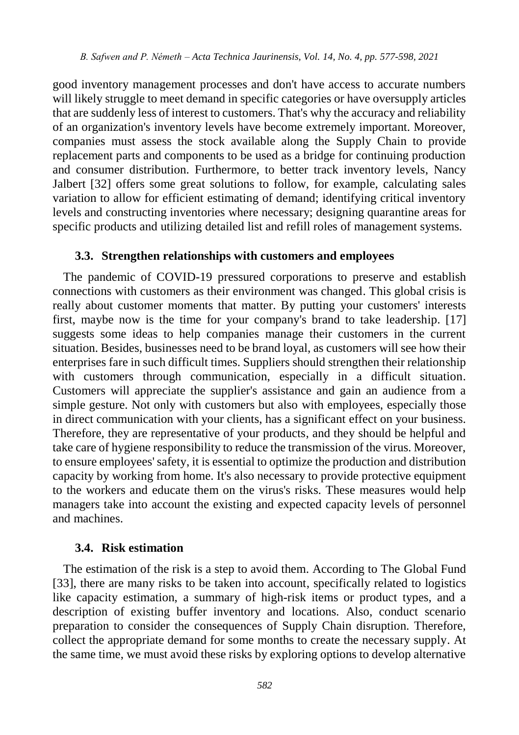good inventory management processes and don't have access to accurate numbers will likely struggle to meet demand in specific categories or have oversupply articles that are suddenly less of interest to customers. That's why the accuracy and reliability of an organization's inventory levels have become extremely important. Moreover, companies must assess the stock available along the Supply Chain to provide replacement parts and components to be used as a bridge for continuing production and consumer distribution. Furthermore, to better track inventory levels, Nancy Jalbert [32] offers some great solutions to follow, for example, calculating sales variation to allow for efficient estimating of demand; identifying critical inventory levels and constructing inventories where necessary; designing quarantine areas for specific products and utilizing detailed list and refill roles of management systems.

#### **3.3. Strengthen relationships with customers and employees**

The pandemic of COVID-19 pressured corporations to preserve and establish connections with customers as their environment was changed. This global crisis is really about customer moments that matter. By putting your customers' interests first, maybe now is the time for your company's brand to take leadership. [17] suggests some ideas to help companies manage their customers in the current situation. Besides, businesses need to be brand loyal, as customers will see how their enterprises fare in such difficult times. Suppliers should strengthen their relationship with customers through communication, especially in a difficult situation. Customers will appreciate the supplier's assistance and gain an audience from a simple gesture. Not only with customers but also with employees, especially those in direct communication with your clients, has a significant effect on your business. Therefore, they are representative of your products, and they should be helpful and take care of hygiene responsibility to reduce the transmission of the virus. Moreover, to ensure employees' safety, it is essential to optimize the production and distribution capacity by working from home. It's also necessary to provide protective equipment to the workers and educate them on the virus's risks. These measures would help managers take into account the existing and expected capacity levels of personnel and machines.

#### **3.4. Risk estimation**

The estimation of the risk is a step to avoid them. According to The Global Fund [33], there are many risks to be taken into account, specifically related to logistics like capacity estimation, a summary of high-risk items or product types, and a description of existing buffer inventory and locations. Also, conduct scenario preparation to consider the consequences of Supply Chain disruption. Therefore, collect the appropriate demand for some months to create the necessary supply. At the same time, we must avoid these risks by exploring options to develop alternative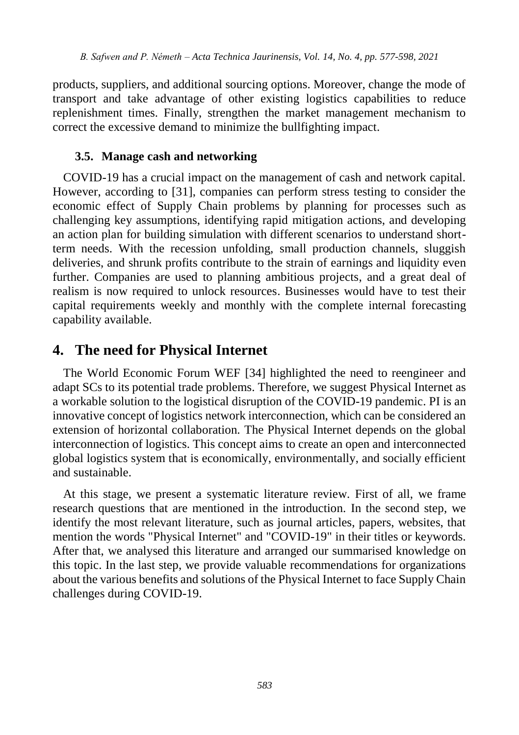products, suppliers, and additional sourcing options. Moreover, change the mode of transport and take advantage of other existing logistics capabilities to reduce replenishment times. Finally, strengthen the market management mechanism to correct the excessive demand to minimize the bullfighting impact.

#### **3.5. Manage cash and networking**

COVID-19 has a crucial impact on the management of cash and network capital. However, according to [31], companies can perform stress testing to consider the economic effect of Supply Chain problems by planning for processes such as challenging key assumptions, identifying rapid mitigation actions, and developing an action plan for building simulation with different scenarios to understand shortterm needs. With the recession unfolding, small production channels, sluggish deliveries, and shrunk profits contribute to the strain of earnings and liquidity even further. Companies are used to planning ambitious projects, and a great deal of realism is now required to unlock resources. Businesses would have to test their capital requirements weekly and monthly with the complete internal forecasting capability available.

### **4. The need for Physical Internet**

The World Economic Forum WEF [34] highlighted the need to reengineer and adapt SCs to its potential trade problems. Therefore, we suggest Physical Internet as a workable solution to the logistical disruption of the COVID-19 pandemic. PI is an innovative concept of logistics network interconnection, which can be considered an extension of horizontal collaboration. The Physical Internet depends on the global interconnection of logistics. This concept aims to create an open and interconnected global logistics system that is economically, environmentally, and socially efficient and sustainable.

At this stage, we present a systematic literature review. First of all, we frame research questions that are mentioned in the introduction. In the second step, we identify the most relevant literature, such as journal articles, papers, websites, that mention the words "Physical Internet" and "COVID-19" in their titles or keywords. After that, we analysed this literature and arranged our summarised knowledge on this topic. In the last step, we provide valuable recommendations for organizations about the various benefits and solutions of the Physical Internet to face Supply Chain challenges during COVID-19.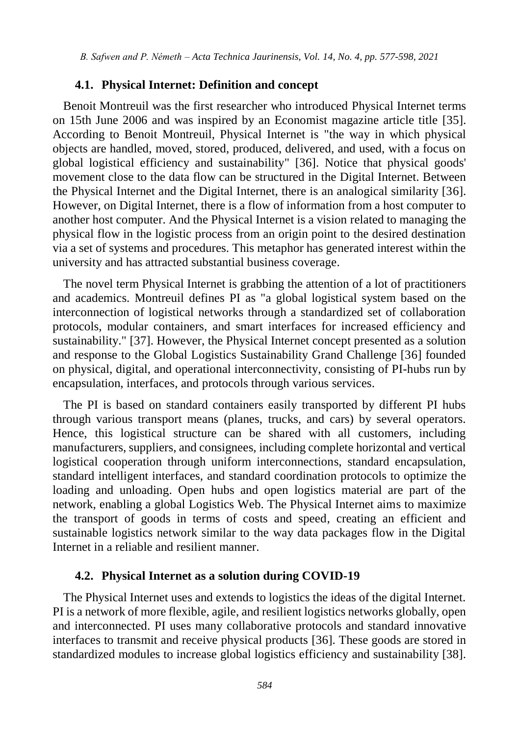#### **4.1. Physical Internet: Definition and concept**

Benoit Montreuil was the first researcher who introduced Physical Internet terms on 15th June 2006 and was inspired by an Economist magazine article title [35]. According to Benoit Montreuil, Physical Internet is "the way in which physical objects are handled, moved, stored, produced, delivered, and used, with a focus on global logistical efficiency and sustainability" [36]. Notice that physical goods' movement close to the data flow can be structured in the Digital Internet. Between the Physical Internet and the Digital Internet, there is an analogical similarity [36]. However, on Digital Internet, there is a flow of information from a host computer to another host computer. And the Physical Internet is a vision related to managing the physical flow in the logistic process from an origin point to the desired destination via a set of systems and procedures. This metaphor has generated interest within the university and has attracted substantial business coverage.

The novel term Physical Internet is grabbing the attention of a lot of practitioners and academics. Montreuil defines PI as "a global logistical system based on the interconnection of logistical networks through a standardized set of collaboration protocols, modular containers, and smart interfaces for increased efficiency and sustainability." [37]. However, the Physical Internet concept presented as a solution and response to the Global Logistics Sustainability Grand Challenge [36] founded on physical, digital, and operational interconnectivity, consisting of PI-hubs run by encapsulation, interfaces, and protocols through various services.

The PI is based on standard containers easily transported by different PI hubs through various transport means (planes, trucks, and cars) by several operators. Hence, this logistical structure can be shared with all customers, including manufacturers, suppliers, and consignees, including complete horizontal and vertical logistical cooperation through uniform interconnections, standard encapsulation, standard intelligent interfaces, and standard coordination protocols to optimize the loading and unloading. Open hubs and open logistics material are part of the network, enabling a global Logistics Web. The Physical Internet aims to maximize the transport of goods in terms of costs and speed, creating an efficient and sustainable logistics network similar to the way data packages flow in the Digital Internet in a reliable and resilient manner.

#### **4.2. Physical Internet as a solution during COVID-19**

The Physical Internet uses and extends to logistics the ideas of the digital Internet. PI is a network of more flexible, agile, and resilient logistics networks globally, open and interconnected. PI uses many collaborative protocols and standard innovative interfaces to transmit and receive physical products [36]. These goods are stored in standardized modules to increase global logistics efficiency and sustainability [38].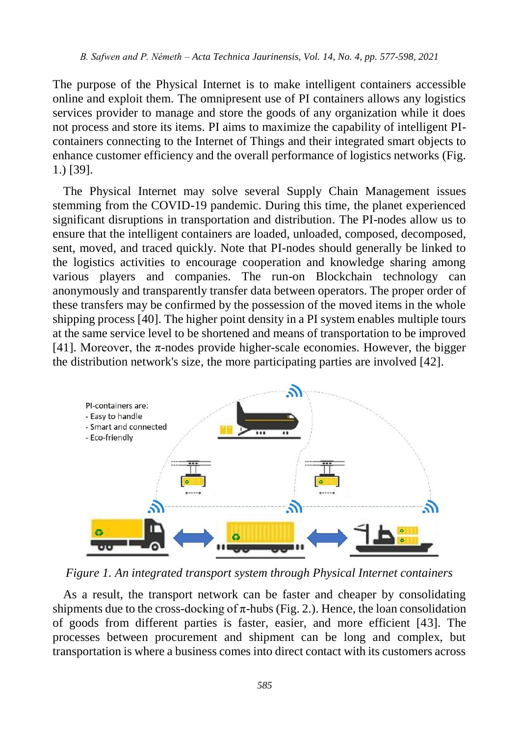The purpose of the Physical Internet is to make intelligent containers accessible online and exploit them. The omnipresent use of PI containers allows any logistics services provider to manage and store the goods of any organization while it does not process and store its items. PI aims to maximize the capability of intelligent PIcontainers connecting to the Internet of Things and their integrated smart objects to enhance customer efficiency and the overall performance of logistics networks (Fig. 1.) [39].

The Physical Internet may solve several Supply Chain Management issues stemming from the COVID-19 pandemic. During this time, the planet experienced significant disruptions in transportation and distribution. The PI-nodes allow us to ensure that the intelligent containers are loaded, unloaded, composed, decomposed, sent, moved, and traced quickly. Note that PI-nodes should generally be linked to the logistics activities to encourage cooperation and knowledge sharing among various players and companies. The run-on Blockchain technology can anonymously and transparently transfer data between operators. The proper order of these transfers may be confirmed by the possession of the moved items in the whole shipping process [40]. The higher point density in a PI system enables multiple tours at the same service level to be shortened and means of transportation to be improved [41]. Moreover, the  $\pi$ -nodes provide higher-scale economies. However, the bigger the distribution network's size, the more participating parties are involved [42].



*Figure 1. An integrated transport system through Physical Internet containers*

As a result, the transport network can be faster and cheaper by consolidating shipments due to the cross-docking of  $\pi$ -hubs (Fig. 2.). Hence, the loan consolidation of goods from different parties is faster, easier, and more efficient [43]. The processes between procurement and shipment can be long and complex, but transportation is where a business comes into direct contact with its customers across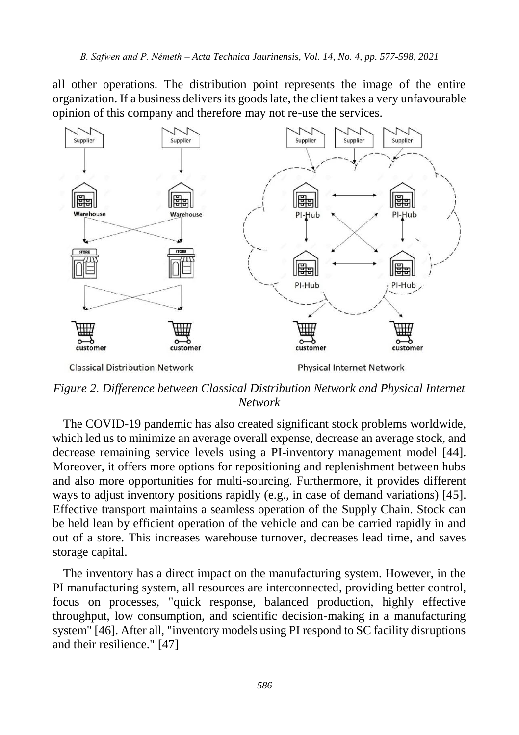all other operations. The distribution point represents the image of the entire organization. If a business delivers its goods late, the client takes a very unfavourable opinion of this company and therefore may not re-use the services.



*Figure 2. Difference between Classical Distribution Network and Physical Internet Network*

The COVID-19 pandemic has also created significant stock problems worldwide, which led us to minimize an average overall expense, decrease an average stock, and decrease remaining service levels using a PI-inventory management model [44]. Moreover, it offers more options for repositioning and replenishment between hubs and also more opportunities for multi-sourcing. Furthermore, it provides different ways to adjust inventory positions rapidly (e.g., in case of demand variations) [45]. Effective transport maintains a seamless operation of the Supply Chain. Stock can be held lean by efficient operation of the vehicle and can be carried rapidly in and out of a store. This increases warehouse turnover, decreases lead time, and saves storage capital.

The inventory has a direct impact on the manufacturing system. However, in the PI manufacturing system, all resources are interconnected, providing better control, focus on processes, "quick response, balanced production, highly effective throughput, low consumption, and scientific decision-making in a manufacturing system" [46]. After all, "inventory models using PI respond to SC facility disruptions and their resilience." [47]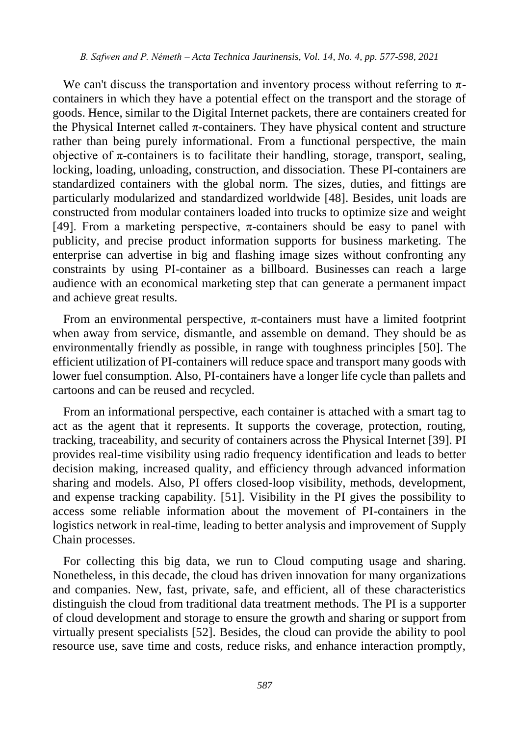We can't discuss the transportation and inventory process without referring to  $\pi$ containers in which they have a potential effect on the transport and the storage of goods. Hence, similar to the Digital Internet packets, there are containers created for the Physical Internet called  $\pi$ -containers. They have physical content and structure rather than being purely informational. From a functional perspective, the main objective of  $\pi$ -containers is to facilitate their handling, storage, transport, sealing, locking, loading, unloading, construction, and dissociation. These PI-containers are standardized containers with the global norm. The sizes, duties, and fittings are particularly modularized and standardized worldwide [48]. Besides, unit loads are constructed from modular containers loaded into trucks to optimize size and weight [49]. From a marketing perspective,  $\pi$ -containers should be easy to panel with publicity, and precise product information supports for business marketing. The enterprise can advertise in big and flashing image sizes without confronting any constraints by using PI-container as a billboard. Businesses can reach a large audience with an economical marketing step that can generate a permanent impact and achieve great results.

From an environmental perspective,  $\pi$ -containers must have a limited footprint when away from service, dismantle, and assemble on demand. They should be as environmentally friendly as possible, in range with toughness principles [50]. The efficient utilization of PI-containers will reduce space and transport many goods with lower fuel consumption. Also, PI-containers have a longer life cycle than pallets and cartoons and can be reused and recycled.

From an informational perspective, each container is attached with a smart tag to act as the agent that it represents. It supports the coverage, protection, routing, tracking, traceability, and security of containers across the Physical Internet [39]. PI provides real-time visibility using radio frequency identification and leads to better decision making, increased quality, and efficiency through advanced information sharing and models. Also, PI offers closed-loop visibility, methods, development, and expense tracking capability. [51]. Visibility in the PI gives the possibility to access some reliable information about the movement of PI-containers in the logistics network in real-time, leading to better analysis and improvement of Supply Chain processes.

For collecting this big data, we run to Cloud computing usage and sharing. Nonetheless, in this decade, the cloud has driven innovation for many organizations and companies. New, fast, private, safe, and efficient, all of these characteristics distinguish the cloud from traditional data treatment methods. The PI is a supporter of cloud development and storage to ensure the growth and sharing or support from virtually present specialists [52]. Besides, the cloud can provide the ability to pool resource use, save time and costs, reduce risks, and enhance interaction promptly,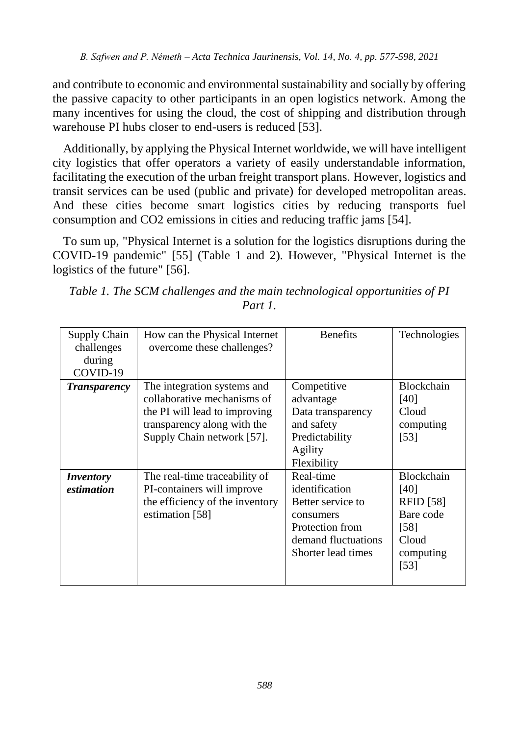and contribute to economic and environmental sustainability and socially by offering the passive capacity to other participants in an open logistics network. Among the many incentives for using the cloud, the cost of shipping and distribution through warehouse PI hubs closer to end-users is reduced [53].

Additionally, by applying the Physical Internet worldwide, we will have intelligent city logistics that offer operators a variety of easily understandable information, facilitating the execution of the urban freight transport plans. However, logistics and transit services can be used (public and private) for developed metropolitan areas. And these cities become smart logistics cities by reducing transports fuel consumption and CO2 emissions in cities and reducing traffic jams [54].

To sum up, "Physical Internet is a solution for the logistics disruptions during the COVID-19 pandemic" [55] (Table 1 and 2). However, "Physical Internet is the logistics of the future" [56].

| Supply Chain<br>challenges<br>during<br>COVID-19 | How can the Physical Internet<br>overcome these challenges?                                                                                              | <b>Benefits</b>                                                                                                               | Technologies                                                                                     |
|--------------------------------------------------|----------------------------------------------------------------------------------------------------------------------------------------------------------|-------------------------------------------------------------------------------------------------------------------------------|--------------------------------------------------------------------------------------------------|
| <b>Transparency</b>                              | The integration systems and<br>collaborative mechanisms of<br>the PI will lead to improving<br>transparency along with the<br>Supply Chain network [57]. | Competitive<br>advantage<br>Data transparency<br>and safety<br>Predictability<br>Agility<br>Flexibility                       | Blockchain<br>[40]<br>Cloud<br>computing<br>[53]                                                 |
| <i>Inventory</i><br>estimation                   | The real-time traceability of<br>PI-containers will improve<br>the efficiency of the inventory<br>estimation [58]                                        | Real-time<br>identification<br>Better service to<br>consumers<br>Protection from<br>demand fluctuations<br>Shorter lead times | <b>Blockchain</b><br>[40]<br><b>RFID</b> [58]<br>Bare code<br>[58]<br>Cloud<br>computing<br>[53] |

*Table 1. The SCM challenges and the main technological opportunities of PI Part 1.*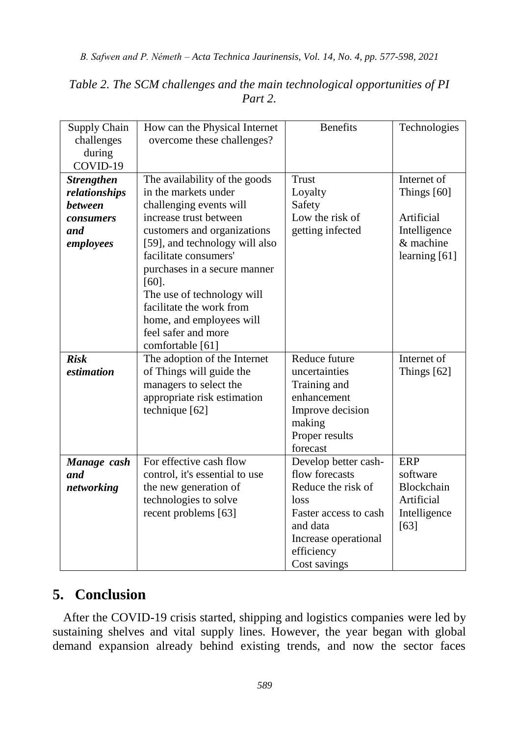| Supply Chain<br>challenges<br>during<br>COVID-19 | How can the Physical Internet<br>overcome these challenges? | <b>Benefits</b>       | Technologies      |
|--------------------------------------------------|-------------------------------------------------------------|-----------------------|-------------------|
| <b>Strengthen</b>                                | The availability of the goods                               | Trust                 | Internet of       |
| relationships                                    | in the markets under                                        | Loyalty               | Things $[60]$     |
| <b>between</b>                                   | challenging events will                                     | Safety                |                   |
| <i>consumers</i>                                 | increase trust between                                      | Low the risk of       | Artificial        |
| and                                              | customers and organizations                                 | getting infected      | Intelligence      |
| employees                                        | [59], and technology will also                              |                       | & machine         |
|                                                  | facilitate consumers'                                       |                       | learning $[61]$   |
|                                                  | purchases in a secure manner                                |                       |                   |
|                                                  | $[60]$ .                                                    |                       |                   |
|                                                  | The use of technology will                                  |                       |                   |
|                                                  | facilitate the work from                                    |                       |                   |
|                                                  | home, and employees will                                    |                       |                   |
|                                                  | feel safer and more<br>comfortable [61]                     |                       |                   |
| <b>Risk</b>                                      | The adoption of the Internet                                | Reduce future         | Internet of       |
| estimation                                       | of Things will guide the                                    | uncertainties         | Things $[62]$     |
|                                                  | managers to select the                                      | Training and          |                   |
|                                                  | appropriate risk estimation                                 | enhancement           |                   |
|                                                  | technique [62]                                              | Improve decision      |                   |
|                                                  |                                                             | making                |                   |
|                                                  |                                                             | Proper results        |                   |
|                                                  |                                                             | forecast              |                   |
| Manage cash                                      | For effective cash flow                                     | Develop better cash-  | ERP               |
| and                                              | control, it's essential to use                              | flow forecasts        | software          |
| networking                                       | the new generation of                                       | Reduce the risk of    | <b>Blockchain</b> |
|                                                  | technologies to solve                                       | loss                  | Artificial        |
|                                                  | recent problems [63]                                        | Faster access to cash | Intelligence      |
|                                                  |                                                             | and data              | $[63]$            |
|                                                  |                                                             | Increase operational  |                   |
|                                                  |                                                             | efficiency            |                   |
|                                                  |                                                             | Cost savings          |                   |

#### *Table 2. The SCM challenges and the main technological opportunities of PI Part 2.*

# **5. Conclusion**

After the COVID-19 crisis started, shipping and logistics companies were led by sustaining shelves and vital supply lines. However, the year began with global demand expansion already behind existing trends, and now the sector faces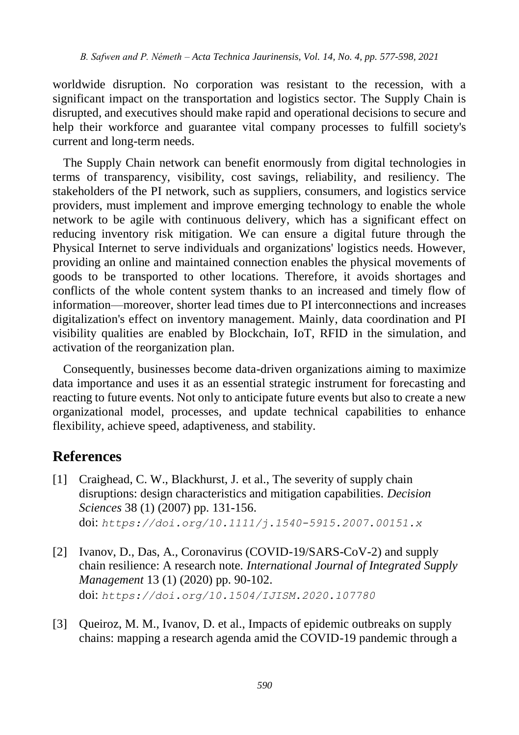worldwide disruption. No corporation was resistant to the recession, with a significant impact on the transportation and logistics sector. The Supply Chain is disrupted, and executives should make rapid and operational decisions to secure and help their workforce and guarantee vital company processes to fulfill society's current and long-term needs.

The Supply Chain network can benefit enormously from digital technologies in terms of transparency, visibility, cost savings, reliability, and resiliency. The stakeholders of the PI network, such as suppliers, consumers, and logistics service providers, must implement and improve emerging technology to enable the whole network to be agile with continuous delivery, which has a significant effect on reducing inventory risk mitigation. We can ensure a digital future through the Physical Internet to serve individuals and organizations' logistics needs. However, providing an online and maintained connection enables the physical movements of goods to be transported to other locations. Therefore, it avoids shortages and conflicts of the whole content system thanks to an increased and timely flow of information—moreover, shorter lead times due to PI interconnections and increases digitalization's effect on inventory management. Mainly, data coordination and PI visibility qualities are enabled by Blockchain, IoT, RFID in the simulation, and activation of the reorganization plan.

Consequently, businesses become data-driven organizations aiming to maximize data importance and uses it as an essential strategic instrument for forecasting and reacting to future events. Not only to anticipate future events but also to create a new organizational model, processes, and update technical capabilities to enhance flexibility, achieve speed, adaptiveness, and stability.

## **References**

- [1] Craighead, C. W., Blackhurst, J. et al., The severity of supply chain disruptions: design characteristics and mitigation capabilities. *Decision Sciences* 38 (1) (2007) pp. 131-156. doi: *[https://doi.org/10.1111/j.1540-5915.2007.00151.x](doi: https://doi.org/10.1111/j.1540-5915.2007.00151.x)*
- [2] Ivanov, D., Das, A., Coronavirus (COVID-19/SARS-CoV-2) and supply chain resilience: A research note*. International Journal of Integrated Supply Management* 13 (1) (2020) pp. 90-102. doi: *[https://doi.org/10.1504/IJISM.2020.107780](doi: https://doi.org/10.1504/IJISM.2020.107780)*
- [3] Queiroz, M. M., Ivanov, D. et al., Impacts of epidemic outbreaks on supply chains: mapping a research agenda amid the COVID-19 pandemic through a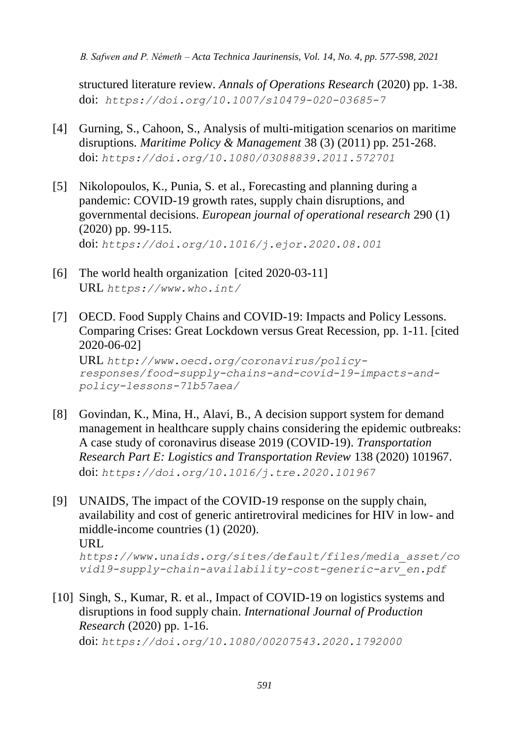structured literature review. *Annals of Operations Research* (2020) pp. 1-38. doi: *[https://doi.org/10.1007/s10479-020-03685-7](doi:%20https://doi.org/10.1007/s10479-020-03685-7)*

- [4] Gurning, S., Cahoon, S., Analysis of multi-mitigation scenarios on maritime disruptions. *Maritime Policy & Management* 38 (3) (2011) pp. 251-268. doi: *<https://doi.org/10.1080/03088839.2011.572701>*
- [5] Nikolopoulos, K., Punia, S. et al., Forecasting and planning during a pandemic: COVID-19 growth rates, supply chain disruptions, and governmental decisions. *European journal of operational research* 290 (1) (2020) pp. 99-115. doi: *<https://doi.org/10.1016/j.ejor.2020.08.001>*
- [6] The world health organization [cited 2020-03-11] URL *<https://www.who.int/>*
- [7] OECD. Food Supply Chains and COVID-19: Impacts and Policy Lessons. Comparing Crises: Great Lockdown versus Great Recession, pp. 1-11. [cited 2020-06-02] URL *[http://www.oecd.org/coronavirus/policy](http://www.oecd.org/coronavirus/policy-responses/food-supply-chains-and-covid-19-impacts-and-policy-lessons-71b57aea/)[responses/food-supply-chains-and-covid-19-impacts-and](http://www.oecd.org/coronavirus/policy-responses/food-supply-chains-and-covid-19-impacts-and-policy-lessons-71b57aea/)[policy-lessons-71b57aea/](http://www.oecd.org/coronavirus/policy-responses/food-supply-chains-and-covid-19-impacts-and-policy-lessons-71b57aea/)*
- [8] Govindan, K., Mina, H., Alavi, B., A decision support system for demand management in healthcare supply chains considering the epidemic outbreaks: A case study of coronavirus disease 2019 (COVID-19). *Transportation Research Part E: Logistics and Transportation Review* 138 (2020) 101967. doi: *<https://doi.org/10.1016/j.tre.2020.101967>*
- [9] [UNAIDS, The impact of the COVID-19 response on the supply chain,](file:///C:/Users/User/Desktop/UNAIDS,%20The%20impact%20of%20the%20COVID-19%20response%20on%20the%20supply%20chain,%20availability%20and%20cost%20of%20generic%20antiretroviral%20medicines%20for%20HIV%20in%20low-%20and%20middle-income%20countries.%20(1).%20(2020).URL%20https:/www.unaids.org/sites/default/files/media_asset/covid19-supply-chain-availability-cost-generic-arv_en.pdf)  availability and cost of [generic antiretroviral medicines for HIV in low-](file:///C:/Users/User/Desktop/UNAIDS,%20The%20impact%20of%20the%20COVID-19%20response%20on%20the%20supply%20chain,%20availability%20and%20cost%20of%20generic%20antiretroviral%20medicines%20for%20HIV%20in%20low-%20and%20middle-income%20countries.%20(1).%20(2020).URL%20https:/www.unaids.org/sites/default/files/media_asset/covid19-supply-chain-availability-cost-generic-arv_en.pdf) and [middle-income countries \(1\)](file:///C:/Users/User/Desktop/UNAIDS,%20The%20impact%20of%20the%20COVID-19%20response%20on%20the%20supply%20chain,%20availability%20and%20cost%20of%20generic%20antiretroviral%20medicines%20for%20HIV%20in%20low-%20and%20middle-income%20countries.%20(1).%20(2020).URL%20https:/www.unaids.org/sites/default/files/media_asset/covid19-supply-chain-availability-cost-generic-arv_en.pdf) (2020). [URL](file:///C:/Users/User/Desktop/UNAIDS,%20The%20impact%20of%20the%20COVID-19%20response%20on%20the%20supply%20chain,%20availability%20and%20cost%20of%20generic%20antiretroviral%20medicines%20for%20HIV%20in%20low-%20and%20middle-income%20countries.%20(1).%20(2020).URL%20https:/www.unaids.org/sites/default/files/media_asset/covid19-supply-chain-availability-cost-generic-arv_en.pdf)

*[https://www.unaids.org/sites/default/files/media\\_asset/co](file:///C:/Users/User/Desktop/UNAIDS,%20The%20impact%20of%20the%20COVID-19%20response%20on%20the%20supply%20chain,%20availability%20and%20cost%20of%20generic%20antiretroviral%20medicines%20for%20HIV%20in%20low-%20and%20middle-income%20countries.%20(1).%20(2020).URL%20https:/www.unaids.org/sites/default/files/media_asset/covid19-supply-chain-availability-cost-generic-arv_en.pdf) [vid19-supply-chain-availability-cost-generic-arv\\_en.pdf](file:///C:/Users/User/Desktop/UNAIDS,%20The%20impact%20of%20the%20COVID-19%20response%20on%20the%20supply%20chain,%20availability%20and%20cost%20of%20generic%20antiretroviral%20medicines%20for%20HIV%20in%20low-%20and%20middle-income%20countries.%20(1).%20(2020).URL%20https:/www.unaids.org/sites/default/files/media_asset/covid19-supply-chain-availability-cost-generic-arv_en.pdf)*

[10] Singh, S., Kumar, R. et al., Impact of COVID-19 on logistics systems and disruptions in food supply chain. *International Journal of Production Research* (2020) pp. 1-16.

doi: *<https://doi.org/10.1080/00207543.2020.1792000>*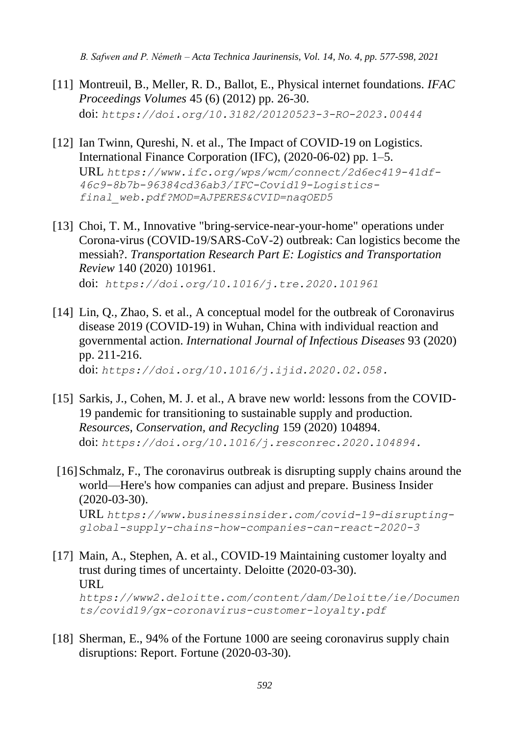- [11] Montreuil, B., Meller, R. D., Ballot, E., Physical internet foundations. *IFAC Proceedings Volumes* 45 (6) (2012) pp. 26-30. doi: *<https://doi.org/10.3182/20120523-3-RO-2023.00444>*
- [12] Ian Twinn, Qureshi, N. et al., The Impact of COVID-19 on Logistics. International Finance Corporation (IFC), (2020-06-02) pp. 1–5. URL *[https://www.ifc.org/wps/wcm/connect/2d6ec419-41df-](https://www.ifc.org/wps/wcm/connect/2d6ec419-41df-46c9-8b7b-96384cd36ab3/IFC-Covid19-Logistics-final_web.pdf?MOD=AJPERES&CVID=naqOED5)[46c9-8b7b-96384cd36ab3/IFC-Covid19-Logistics](https://www.ifc.org/wps/wcm/connect/2d6ec419-41df-46c9-8b7b-96384cd36ab3/IFC-Covid19-Logistics-final_web.pdf?MOD=AJPERES&CVID=naqOED5)[final\\_web.pdf?MOD=AJPERES&CVID=naqOED5](https://www.ifc.org/wps/wcm/connect/2d6ec419-41df-46c9-8b7b-96384cd36ab3/IFC-Covid19-Logistics-final_web.pdf?MOD=AJPERES&CVID=naqOED5)*
- [13] Choi, T. M., Innovative "bring-service-near-your-home" operations under Corona-virus (COVID-19/SARS-CoV-2) outbreak: Can logistics become the messiah?. *Transportation Research Part E: Logistics and Transportation Review* 140 (2020) 101961. doi: *<https://doi.org/10.1016/j.tre.2020.101961>*
- [14] Lin, Q., Zhao, S. et al., A conceptual model for the outbreak of Coronavirus disease 2019 (COVID-19) in Wuhan, China with individual reaction and governmental action. *International Journal of Infectious Diseases* 93 (2020) pp. 211-216. doi: *[https://doi.org/10.1016/j.ijid.2020.02.058.](https://doi.org/10.1016/j.ijid.2020.02.058)*
- [15] Sarkis, J., Cohen, M. J. et al., A brave new world: lessons from the COVID-19 pandemic for transitioning to sustainable supply and production. *Resources, Conservation, and Recycling* 159 (2020) 104894. doi: *[https://doi.org/10.1016/j.resconrec.2020.104894.](https://doi.org/10.1016/j.resconrec.2020.104894)*
- [16]Schmalz, F., The coronavirus outbreak is disrupting supply chains around the world—Here's how companies can adjust and prepare. Business Insider (2020-03-30). URL *[https://www.businessinsider.com/covid-19-disrupting](https://www.businessinsider.com/covid-19-disrupting-global-supply-chains-how-companies-can-react-2020-3)[global-supply-chains-how-companies-can-react-2020-3](https://www.businessinsider.com/covid-19-disrupting-global-supply-chains-how-companies-can-react-2020-3)*

[17] Main, A., Stephen, A. et al., COVID-19 Maintaining customer loyalty and trust during times of uncertainty. Deloitte (2020-03-30). [URL](https://www2.deloitte.com/content/dam/Deloitte/ie/Documents/covid19/gx-coronavirus-customer-loyalty.pdf) *[https://www2.deloitte.com/content/dam/Deloitte/ie/Documen](https://www2.deloitte.com/content/dam/Deloitte/ie/Documents/covid19/gx-coronavirus-customer-loyalty.pdf) [ts/covid19/gx-coronavirus-customer-loyalty.pdf](https://www2.deloitte.com/content/dam/Deloitte/ie/Documents/covid19/gx-coronavirus-customer-loyalty.pdf)*

[18] Sherman, E., 94% of the Fortune 1000 are seeing coronavirus supply chain disruptions: Report. Fortune (2020-03-30).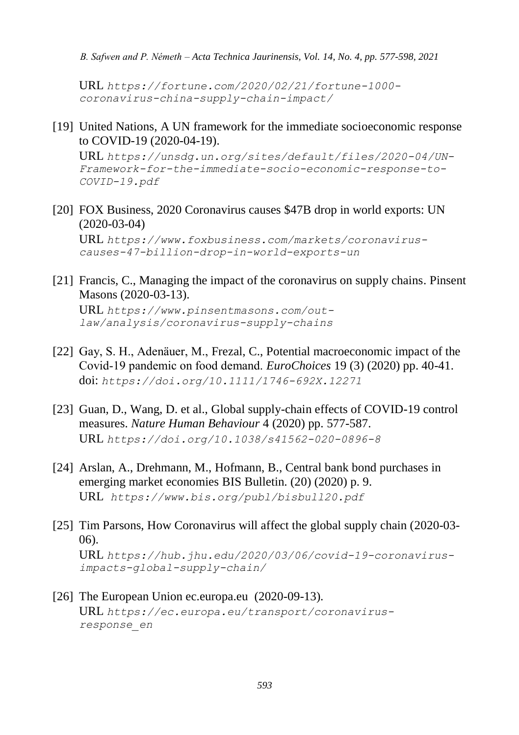URL *[https://fortune.com/2020/02/21/fortune-1000](https://fortune.com/2020/02/21/fortune-1000-coronavirus-china-supply-chain-impact/) [coronavirus-china-supply-chain-impact/](https://fortune.com/2020/02/21/fortune-1000-coronavirus-china-supply-chain-impact/)* 

[19] United Nations, A UN framework for the immediate socioeconomic response to COVID-19 (2020-04-19).

URL *[https://unsdg.un.org/sites/default/files/2020-04/UN-](https://unsdg.un.org/sites/default/files/2020-04/UN-Framework-for-the-immediate-socio-economic-response-to-COVID-19.pdf)[Framework-for-the-immediate-socio-economic-response-to-](https://unsdg.un.org/sites/default/files/2020-04/UN-Framework-for-the-immediate-socio-economic-response-to-COVID-19.pdf)[COVID-19.pdf](https://unsdg.un.org/sites/default/files/2020-04/UN-Framework-for-the-immediate-socio-economic-response-to-COVID-19.pdf)*

- [20] FOX [Business, 2020 Coronavirus causes \\$47B drop in world exports: UN](file:///C:/Users/User/Desktop/FOXBusiness,%202020%20Coronavirus%20causes%20$47B%20drop%20in%20world%20exports:%20UN%20%5bcited%202020-03-04%5dURL%20https:/www.foxbusiness.com/markets/coronavirus-causes-47-billion-drop-in-world-exports-un)  [\(2020-03-04\)](file:///C:/Users/User/Desktop/FOXBusiness,%202020%20Coronavirus%20causes%20$47B%20drop%20in%20world%20exports:%20UN%20%5bcited%202020-03-04%5dURL%20https:/www.foxbusiness.com/markets/coronavirus-causes-47-billion-drop-in-world-exports-un) URL *[https://www.foxbusiness.com/markets/coronavirus](file:///C:/Users/User/Desktop/FOXBusiness,%202020%20Coronavirus%20causes%20$47B%20drop%20in%20world%20exports:%20UN%20%5bcited%202020-03-04%5dURL%20https:/www.foxbusiness.com/markets/coronavirus-causes-47-billion-drop-in-world-exports-un)[causes-47-billion-drop-in-world-exports-un](file:///C:/Users/User/Desktop/FOXBusiness,%202020%20Coronavirus%20causes%20$47B%20drop%20in%20world%20exports:%20UN%20%5bcited%202020-03-04%5dURL%20https:/www.foxbusiness.com/markets/coronavirus-causes-47-billion-drop-in-world-exports-un)*
- [21] Francis, C., Managing the impact of the coronavirus on supply chains. Pinsent Masons (2020-03-13). URL *[https://www.pinsentmasons.com/out](https://www.pinsentmasons.com/out-law/analysis/coronavirus-supply-chains)[law/analysis/coronavirus-supply-chains](https://www.pinsentmasons.com/out-law/analysis/coronavirus-supply-chains)*
- [22] Gay, S. H., Adenäuer, M., Frezal, C., Potential macroeconomic impact of the Covid‐19 pandemic on food demand. *EuroChoices* 19 (3) (2020) pp. 40-41. doi: *<https://doi.org/10.1111/1746-692X.12271>*
- [23] Guan, D., Wang, D. et al., Global supply-chain effects of COVID-19 control measures. *Nature Human Behaviour* 4 (2020) pp. 577-587. URL *<https://doi.org/10.1038/s41562-020-0896-8>*
- [24] Arslan, A., Drehmann, M., Hofmann, B., Central bank bond purchases in emerging market economies BIS Bulletin. (20) (2020) p. 9. URL *<https://www.bis.org/publ/bisbull20.pdf>*
- [25] Tim Parsons, How Coronavirus will affect the global supply chain (2020-03- 06). URL *[https://hub.jhu.edu/2020/03/06/covid-19-coronavirus](https://hub.jhu.edu/2020/03/06/covid-19-coronavirus-impacts-global-supply-chain/)[impacts-global-supply-chain/](https://hub.jhu.edu/2020/03/06/covid-19-coronavirus-impacts-global-supply-chain/)*
- [26] The European Union ec.europa.eu (2020-09-13). URL *[https://ec.europa.eu/transport/coronavirus](https://ec.europa.eu/transport/coronavirus-response_en)[response\\_en](https://ec.europa.eu/transport/coronavirus-response_en)*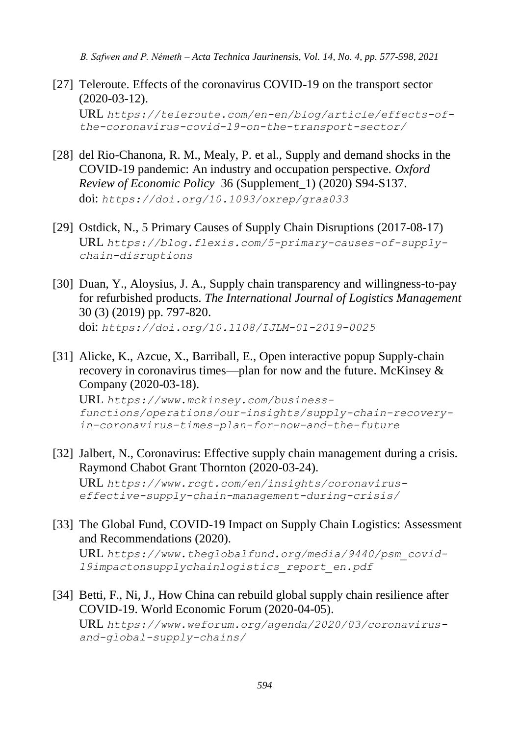- [27] Teleroute. Effects of the coronavirus COVID-19 on the transport sector (2020-03-12). URL *[https://teleroute.com/en-en/blog/article/effects-of](https://teleroute.com/en-en/blog/article/effects-of-the-coronavirus-covid-19-on-the-transport-sector/)[the-coronavirus-covid-19-on-the-transport-sector/](https://teleroute.com/en-en/blog/article/effects-of-the-coronavirus-covid-19-on-the-transport-sector/)*
- [28] del Rio-Chanona, R. M., Mealy, P. et al., Supply and demand shocks in the COVID-19 pandemic: An industry and occupation perspective. *Oxford Review of Economic Policy* 36 (Supplement\_1) (2020) S94-S137. doi: *<https://doi.org/10.1093/oxrep/graa033>*
- [29] [Ostdick, N., 5 Primary Causes of Supply Chain Disruptions](https://blog.flexis.com/author/nick-ostdick) (2017-08-17) URL *[https://blog.flexis.com/5-primary-causes-of-supply](https://blog.flexis.com/5-primary-causes-of-supply-chain-disruptions)[chain-disruptions](https://blog.flexis.com/5-primary-causes-of-supply-chain-disruptions)*
- [30] Duan, Y., Aloysius, J. A., Supply chain transparency and willingness-to-pay for refurbished products. *The International Journal of Logistics Management*  30 (3) (2019) pp. 797-820. doi: *[https://doi.org/10.1108/IJLM-01-2019-0025](doi:%20https://doi.org/10.1108/IJLM-01-2019-0025)*
- [31] Alicke, K., Azcue, X., Barriball, E., Open interactive popup Supply-chain recovery in coronavirus times—plan for now and the future. McKinsey & Company (2020-03-18).

URL *[https://www.mckinsey.com/business](https://www.mckinsey.com/business-functions/operations/our-insights/supply-chain-recovery-in-coronavirus-times-plan-for-now-and-the-future)[functions/operations/our-insights/supply-chain-recovery](https://www.mckinsey.com/business-functions/operations/our-insights/supply-chain-recovery-in-coronavirus-times-plan-for-now-and-the-future)[in-coronavirus-times-plan-for-now-and-the-future](https://www.mckinsey.com/business-functions/operations/our-insights/supply-chain-recovery-in-coronavirus-times-plan-for-now-and-the-future)*

- [32] Jalbert, N., Coronavirus: Effective supply chain management during a crisis. Raymond Chabot Grant Thornton (2020-03-24). URL *[https://www.rcgt.com/en/insights/coronavirus](https://www.rcgt.com/en/insights/coronavirus-effective-supply-chain-management-during-crisis/)[effective-supply-chain-management-during-crisis/](https://www.rcgt.com/en/insights/coronavirus-effective-supply-chain-management-during-crisis/)*
- [33] The Global Fund, COVID-19 Impact on Supply Chain Logistics: Assessment and Recommendations (2020). URL *[https://www.theglobalfund.org/media/9440/psm\\_covid-](https://www.theglobalfund.org/media/9440/psm_covid-19impactonsupplychainlogistics_report_en.pdf)[19impactonsupplychainlogistics\\_report\\_en.pdf](https://www.theglobalfund.org/media/9440/psm_covid-19impactonsupplychainlogistics_report_en.pdf)*
- [34] Betti, F., Ni, J., How China can rebuild global supply chain resilience after COVID-19. World Economic Forum (2020-04-05).

URL *[https://www.weforum.org/agenda/2020/03/coronavirus](https://www.weforum.org/agenda/2020/03/coronavirus-and-global-supply-chains/)[and-global-supply-chains/](https://www.weforum.org/agenda/2020/03/coronavirus-and-global-supply-chains/)*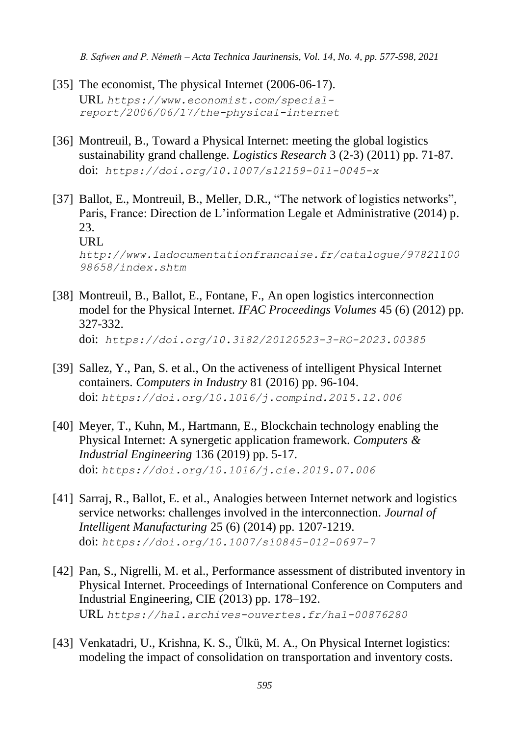- [35] The economist, The physical Internet (2006-06-17). URL *[https://www.economist.com/special](https://www.economist.com/special-report/2006/06/17/the-physical-internet)[report/2006/06/17/the-physical-internet](https://www.economist.com/special-report/2006/06/17/the-physical-internet)*
- [36] Montreuil, B., Toward a Physical Internet: meeting the global logistics sustainability grand challenge. *Logistics Research* 3 (2-3) (2011) pp. 71-87. doi: *<https://doi.org/10.1007/s12159-011-0045-x>*
- [37] Ballot, E., Montreuil, B., Meller, D.R., "The network of logistics networks", Paris, France: Direction de L'information Legale et Administrative (2014) p. 23. URL *http://www.ladocumentationfrancaise.fr/catalogue/97821100 98658/index.shtm*
- [38] Montreuil, B., Ballot, E., Fontane, F., An open logistics interconnection model for the Physical Internet. *IFAC Proceedings Volumes* 45 (6) (2012) pp. 327-332. doi: *<https://doi.org/10.3182/20120523-3-RO-2023.00385>*
- [39] Sallez, Y., Pan, S. et al., On the activeness of intelligent Physical Internet containers. *Computers in Industry* 81 (2016) pp. 96-104. doi: *https://doi.org/10.1016/j.compind.2015.12.006*
- [40] Meyer, T., Kuhn, M., Hartmann, E., Blockchain technology enabling the Physical Internet: A synergetic application framework. *Computers & Industrial Engineering* 136 (2019) pp. 5-17. doi: *https://doi.org/10.1016/j.cie.2019.07.006*
- [41] Sarraj, R., Ballot, E. et al., Analogies between Internet network and logistics service networks: challenges involved in the interconnection. *Journal of Intelligent Manufacturing* 25 (6) (2014) pp. 1207-1219. doi: *https://doi.org/10.1007/s10845-012-0697-7*
- [42] Pan, S., Nigrelli, M. et al., Performance assessment of distributed inventory in Physical Internet. Proceedings of International Conference on Computers and Industrial Engineering, CIE (2013) pp. 178–192. URL *<https://hal.archives-ouvertes.fr/hal-00876280>*
- [43] Venkatadri, U., Krishna, K. S., Ülkü, M. A., On Physical Internet logistics: modeling the impact of consolidation on transportation and inventory costs.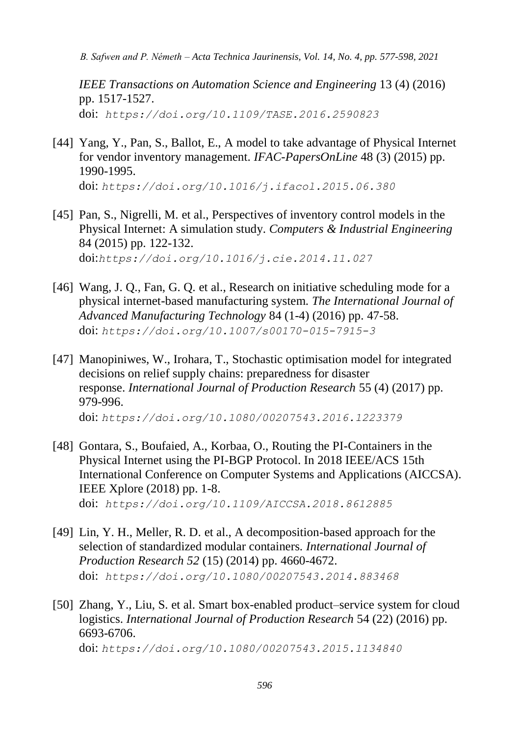*IEEE Transactions on Automation Science and Engineering* 13 (4) (2016) pp. 1517-1527. doi: *<https://doi.org/10.1109/TASE.2016.2590823>*

- [44] Yang, Y., Pan, S., Ballot, E., A model to take advantage of Physical Internet for vendor inventory management. *IFAC-PapersOnLine* 48 (3) (2015) pp. 1990-1995. doi: *https://doi.org/10.1016/j.ifacol.2015.06.380*
- [45] Pan, S., Nigrelli, M. et al., Perspectives of inventory control models in the Physical Internet: A simulation study. *Computers & Industrial Engineering* 84 (2015) pp. 122-132. doi:*https://doi.org/10.1016/j.cie.2014.11.027*
- [46] Wang, J. Q., Fan, G. Q. et al., Research on initiative scheduling mode for a physical internet-based manufacturing system. *The International Journal of Advanced Manufacturing Technology* 84 (1-4) (2016) pp. 47-58. doi: *[https://doi.org/10.1007/s00170-015-7915-3](https://doi.org/10.1007/s00170-015-7915-)*
- [47] Manopiniwes, W., Irohara, T., Stochastic optimisation model for integrated decisions on relief supply chains: preparedness for disaster response. *International Journal of Production Research* 55 (4) (2017) pp. 979-996. doi: *https://doi.org/10.1080/00207543.2016.1223379*
- [48] Gontara, S., Boufaied, A., Korbaa, O., Routing the PI-Containers in the Physical Internet using the PI-BGP Protocol. In 2018 IEEE/ACS 15th International Conference on Computer Systems and Applications (AICCSA). IEEE Xplore (2018) pp. 1-8. doi: *<https://doi.org/10.1109/AICCSA.2018.8612885>*
- [49] Lin, Y. H., Meller, R. D. et al., A decomposition-based approach for the selection of standardized modular containers. *International Journal of Production Research 52* (15) (2014) pp. 4660-4672. doi: *<https://doi.org/10.1080/00207543.2014.883468>*
- [50] Zhang, Y., Liu, S. et al. Smart box-enabled product–service system for cloud logistics. *International Journal of Production Research* 54 (22) (2016) pp. 6693-6706. doi: *https://doi.org/10.1080/00207543.2015.1134840*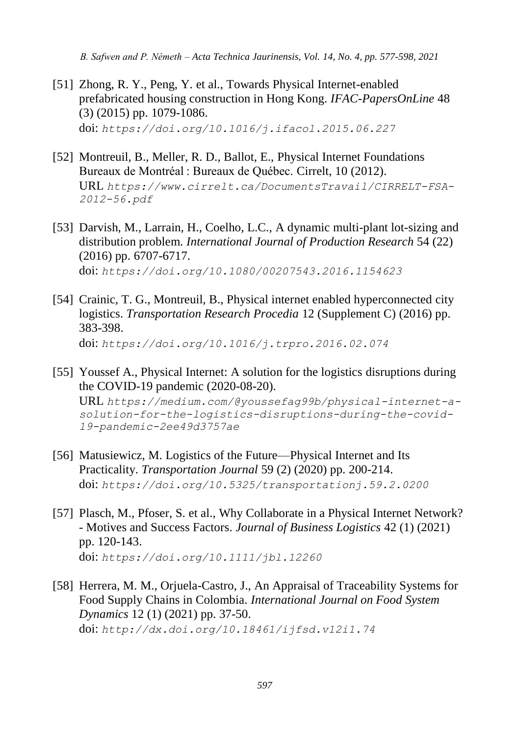- [51] Zhong, R. Y., Peng, Y. et al., Towards Physical Internet-enabled prefabricated housing construction in Hong Kong. *IFAC-PapersOnLine* 48 (3) (2015) pp. 1079-1086. doi: *https://doi.org/10.1016/j.ifacol.2015.06.227*
- [52] Montreuil, B., Meller, R. D., Ballot, E., Physical Internet Foundations Bureaux de Montréal : Bureaux de Québec. Cirrelt, 10 (2012). URL *[https://www.cirrelt.ca/DocumentsTravail/CIRRELT-FSA-](https://www.cirrelt.ca/DocumentsTravail/CIRRELT-FSA-2012-56.pdf)[2012-56.pdf](https://www.cirrelt.ca/DocumentsTravail/CIRRELT-FSA-2012-56.pdf)*
- [53] Darvish, M., Larrain, H., Coelho, L.C., A dynamic multi-plant lot-sizing and distribution problem. *International Journal of Production Research* 54 (22) (2016) pp. 6707-6717. doi: *https://doi.org/10.1080/00207543.2016.1154623*
- [54] Crainic, T. G., Montreuil, B., Physical internet enabled hyperconnected city logistics. *Transportation Research Procedia* 12 (Supplement C) (2016) pp. 383-398. doi: *<https://doi.org/10.1016/j.trpro.2016.02.074>*
- [55] Youssef A., Physical Internet: A solution for the logistics disruptions during the COVID-19 pandemic (2020-08-20).

URL *[https://medium.com/@youssefag99b/physical-internet-a](https://medium.com/@youssefag99b/physical-internet-a-solution-for-the-logistics-disruptions-during-the-covid-19-pandemic-2ee49d3757ae)[solution-for-the-logistics-disruptions-during-the-covid-](https://medium.com/@youssefag99b/physical-internet-a-solution-for-the-logistics-disruptions-during-the-covid-19-pandemic-2ee49d3757ae)[19-pandemic-2ee49d3757ae](https://medium.com/@youssefag99b/physical-internet-a-solution-for-the-logistics-disruptions-during-the-covid-19-pandemic-2ee49d3757ae)*

- [56] Matusiewicz, M. Logistics of the Future—Physical Internet and Its Practicality. *Transportation Journal* 59 (2) (2020) pp. 200-214. doi: *<https://doi.org/10.5325/transportationj.59.2.0200>*
- [57] Plasch, M., Pfoser, S. et al., Why Collaborate in a Physical Internet Network? - Motives and Success Factors. *Journal of Business Logistics* 42 (1) (2021) pp. 120-143. doi: *<https://doi.org/10.1111/jbl.12260>*
- [58] Herrera, M. M., Orjuela-Castro, J., An Appraisal of Traceability Systems for Food Supply Chains in Colombia. *International Journal on Food System Dynamics* 12 (1) (2021) pp. 37-50. doi: *http://dx.doi.org/10.18461/ijfsd.v12i1.74*